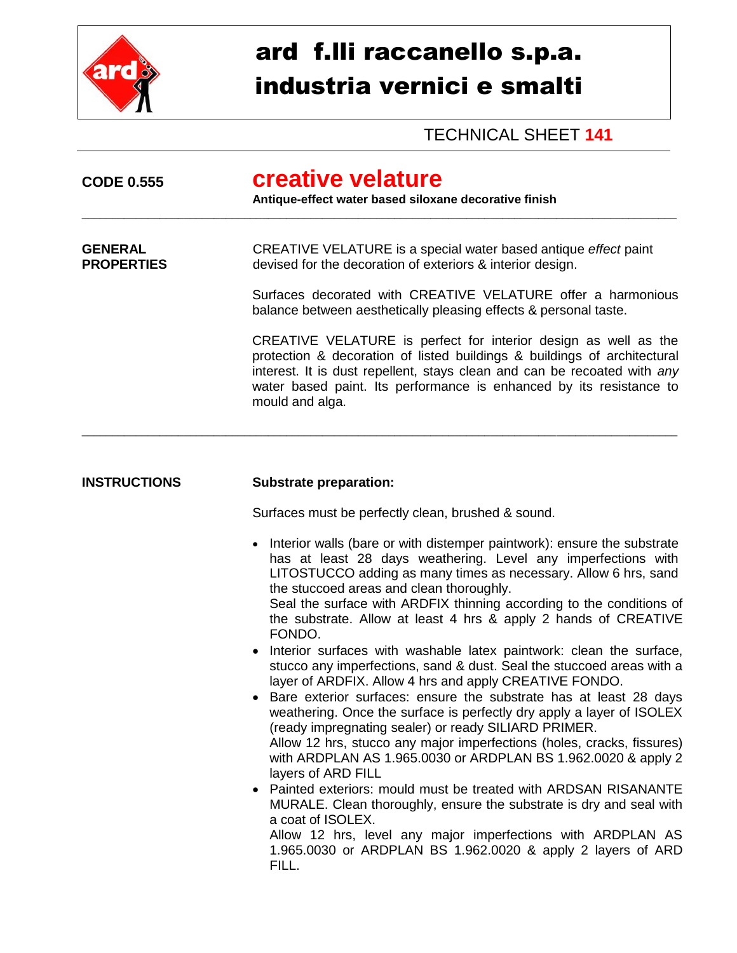

## ard f.lli raccanello s.p.a. industria vernici e smalti

## TECHNICAL SHEET **141**

| <b>CODE 0.555</b>                   | creative velature<br>Antique-effect water based siloxane decorative finish                                                                                                                                                                                                                                                                                                                                                |  |  |  |
|-------------------------------------|---------------------------------------------------------------------------------------------------------------------------------------------------------------------------------------------------------------------------------------------------------------------------------------------------------------------------------------------------------------------------------------------------------------------------|--|--|--|
| <b>GENERAL</b><br><b>PROPERTIES</b> | CREATIVE VELATURE is a special water based antique effect paint<br>devised for the decoration of exteriors & interior design.                                                                                                                                                                                                                                                                                             |  |  |  |
|                                     | Surfaces decorated with CREATIVE VELATURE offer a harmonious<br>balance between aesthetically pleasing effects & personal taste.                                                                                                                                                                                                                                                                                          |  |  |  |
|                                     | CREATIVE VELATURE is perfect for interior design as well as the<br>protection & decoration of listed buildings & buildings of architectural<br>interest. It is dust repellent, stays clean and can be recoated with any<br>water based paint. Its performance is enhanced by its resistance to<br>mould and alga.                                                                                                         |  |  |  |
| <b>INSTRUCTIONS</b>                 | <b>Substrate preparation:</b>                                                                                                                                                                                                                                                                                                                                                                                             |  |  |  |
|                                     | Surfaces must be perfectly clean, brushed & sound.                                                                                                                                                                                                                                                                                                                                                                        |  |  |  |
|                                     | Interior walls (bare or with distemper paintwork): ensure the substrate<br>$\bullet$<br>has at least 28 days weathering. Level any imperfections with<br>LITOSTUCCO adding as many times as necessary. Allow 6 hrs, sand<br>the stuccoed areas and clean thoroughly.<br>Seal the surface with ARDFIX thinning according to the conditions of<br>the substrate. Allow at least 4 hrs & apply 2 hands of CREATIVE<br>FONDO. |  |  |  |
|                                     | Interior surfaces with washable latex paintwork: clean the surface,<br>$\bullet$<br>stucco any imperfections, sand & dust. Seal the stuccoed areas with a<br>layer of ARDFIX. Allow 4 hrs and apply CREATIVE FONDO.                                                                                                                                                                                                       |  |  |  |
|                                     | Bare exterior surfaces: ensure the substrate has at least 28 days<br>weathering. Once the surface is perfectly dry apply a layer of ISOLEX<br>(ready impregnating sealer) or ready SILIARD PRIMER.<br>Allow 12 hrs, stucco any major imperfections (holes, cracks, fissures)<br>with ARDPLAN AS 1.965.0030 or ARDPLAN BS 1.962.0020 & apply 2<br>layers of ARD FILL                                                       |  |  |  |
|                                     | • Painted exteriors: mould must be treated with ARDSAN RISANANTE<br>MURALE. Clean thoroughly, ensure the substrate is dry and seal with<br>a coat of ISOLEX.                                                                                                                                                                                                                                                              |  |  |  |
|                                     | Allow 12 hrs, level any major imperfections with ARDPLAN AS<br>1.965.0030 or ARDPLAN BS 1.962.0020 & apply 2 layers of ARD<br>FILL.                                                                                                                                                                                                                                                                                       |  |  |  |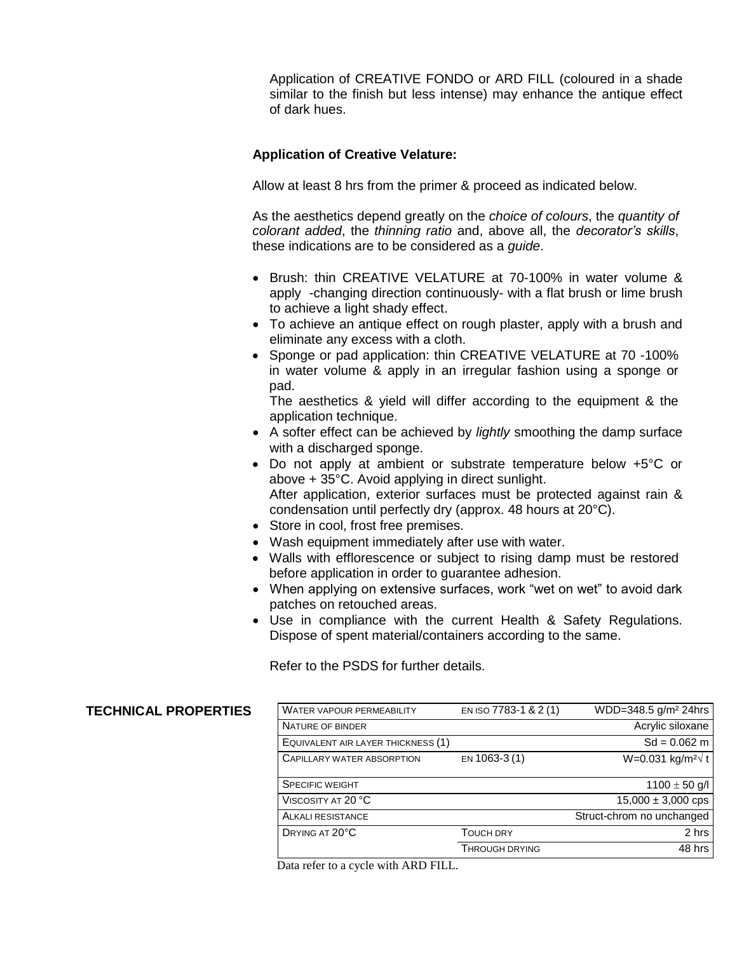Application of CREATIVE FONDO or ARD FILL (coloured in a shade similar to the finish but less intense) may enhance the antique effect of dark hues.

## **Application of Creative Velature:**

Allow at least 8 hrs from the primer & proceed as indicated below.

As the aesthetics depend greatly on the *choice of colours*, the *quantity of colorant added*, the *thinning ratio* and, above all, the *decorator's skills*, these indications are to be considered as a *guide*.

- Brush: thin CREATIVE VELATURE at 70-100% in water volume & apply -changing direction continuously- with a flat brush or lime brush to achieve a light shady effect.
- To achieve an antique effect on rough plaster, apply with a brush and eliminate any excess with a cloth.
- Sponge or pad application: thin CREATIVE VELATURE at 70 -100% in water volume & apply in an irregular fashion using a sponge or pad.

The aesthetics & yield will differ according to the equipment & the application technique.

- A softer effect can be achieved by *lightly* smoothing the damp surface with a discharged sponge.
- Do not apply at ambient or substrate temperature below +5°C or above + 35°C. Avoid applying in direct sunlight. After application, exterior surfaces must be protected against rain & condensation until perfectly dry (approx. 48 hours at 20°C).
- Store in cool, frost free premises.
- Wash equipment immediately after use with water.
- Walls with efflorescence or subject to rising damp must be restored before application in order to guarantee adhesion.
- When applying on extensive surfaces, work "wet on wet" to avoid dark patches on retouched areas.
- Use in compliance with the current Health & Safety Regulations. Dispose of spent material/containers according to the same.

Refer to the PSDS for further details.

| <b>TECHNICAL PROPERTIES</b> | WATER VAPOUR PERMEABILITY                                                                        | EN ISO 7783-1 & 2(1)  | WDD=348.5 g/m <sup>2</sup> 24hrs       |
|-----------------------------|--------------------------------------------------------------------------------------------------|-----------------------|----------------------------------------|
|                             | NATURE OF BINDER                                                                                 |                       | Acrylic siloxane                       |
|                             | EQUIVALENT AIR LAYER THICKNESS (1)                                                               |                       | $Sd = 0.062$ m                         |
|                             | CAPILLARY WATER ABSORPTION                                                                       | EN 1063-3 (1)         | $W=0.031$ kg/m <sup>2</sup> $\sqrt{t}$ |
|                             | <b>SPECIFIC WEIGHT</b>                                                                           |                       | $1100 \pm 50$ g/l                      |
|                             | VISCOSITY AT 20 °C                                                                               |                       | $15,000 \pm 3,000$ cps                 |
|                             | ALKALI RESISTANCE                                                                                |                       | Struct-chrom no unchanged              |
|                             | DRYING AT 20°C                                                                                   | <b>TOUCH DRY</b>      | 2 hrs                                  |
|                             |                                                                                                  | <b>THROUGH DRYING</b> | 48 hrs                                 |
|                             | $D_{\text{min}}$ and $\mu$ and $\mu$ and $\mu$ and $\mu$ and $\mu$ and $\mu$ and $\mu$ and $\mu$ |                       |                                        |

Data refer to a cycle with ARD FILL.